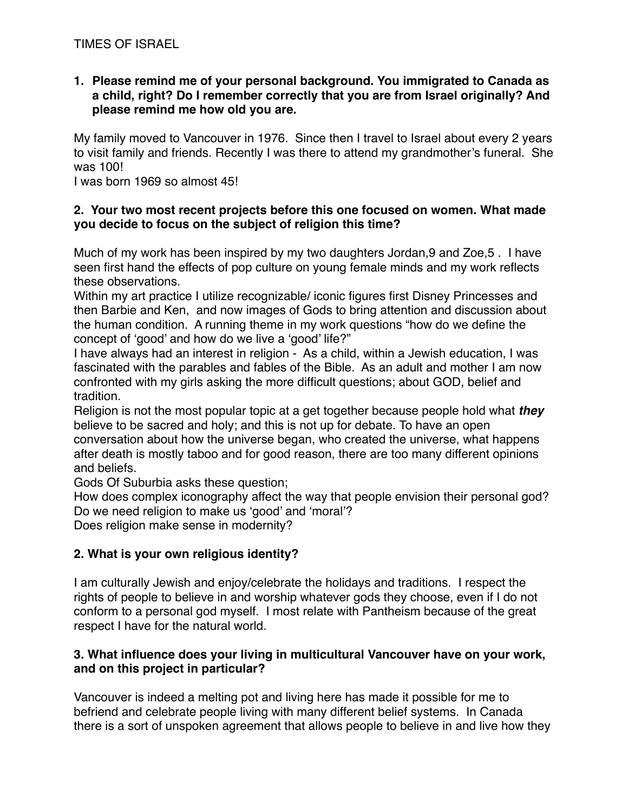**1. Please remind me of your personal background. You immigrated to Canada as a child, right? Do I remember correctly that you are from Israel originally? And please remind me how old you are.**

My family moved to Vancouver in 1976. Since then I travel to Israel about every 2 years to visit family and friends. Recently I was there to attend my grandmother's funeral. She was 100!

I was born 1969 so almost 45!

# **2. Your two most recent projects before this one focused on women. What made you decide to focus on the subject of religion this time?**

Much of my work has been inspired by my two daughters Jordan,9 and Zoe,5 . I have seen first hand the effects of pop culture on young female minds and my work reflects these observations.

Within my art practice I utilize recognizable/ iconic figures first Disney Princesses and then Barbie and Ken, and now images of Gods to bring attention and discussion about the human condition. A running theme in my work questions "how do we define the concept of 'good' and how do we live a 'good' life?"

I have always had an interest in religion - As a child, within a Jewish education, I was fascinated with the parables and fables of the Bible. As an adult and mother I am now confronted with my girls asking the more difficult questions; about GOD, belief and tradition.

Religion is not the most popular topic at a get together because people hold what *they*  believe to be sacred and holy; and this is not up for debate. To have an open conversation about how the universe began, who created the universe, what happens after death is mostly taboo and for good reason, there are too many different opinions and beliefs.

Gods Of Suburbia asks these question;

How does complex iconography affect the way that people envision their personal god? Do we need religion to make us 'good' and 'moral'?

Does religion make sense in modernity?

# **2. What is your own religious identity?**

I am culturally Jewish and enjoy/celebrate the holidays and traditions. I respect the rights of people to believe in and worship whatever gods they choose, even if I do not conform to a personal god myself. I most relate with Pantheism because of the great respect I have for the natural world.

# **3. What influence does your living in multicultural Vancouver have on your work, and on this project in particular?**

Vancouver is indeed a melting pot and living here has made it possible for me to befriend and celebrate people living with many different belief systems. In Canada there is a sort of unspoken agreement that allows people to believe in and live how they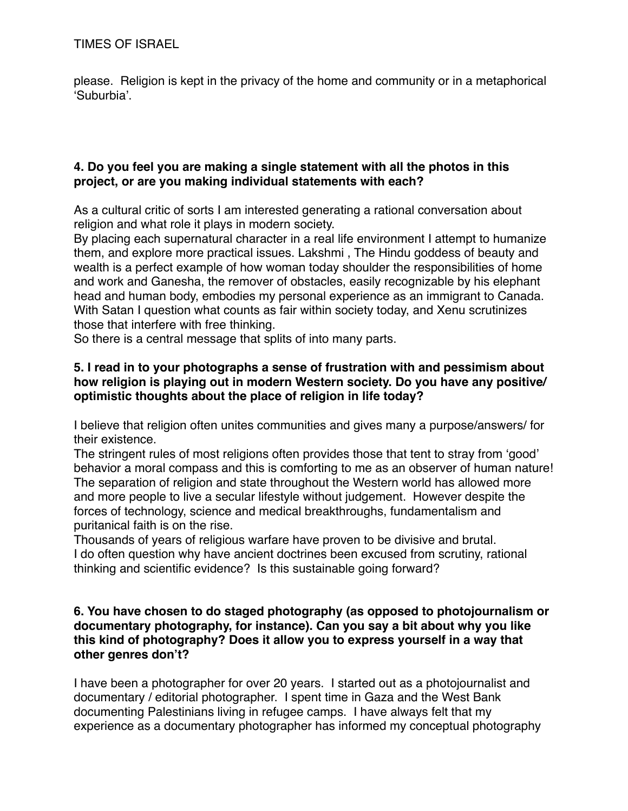TIMES OF ISRAEL

please. Religion is kept in the privacy of the home and community or in a metaphorical 'Suburbia'.

### **4. Do you feel you are making a single statement with all the photos in this project, or are you making individual statements with each?**

As a cultural critic of sorts I am interested generating a rational conversation about religion and what role it plays in modern society.

By placing each supernatural character in a real life environment I attempt to humanize them, and explore more practical issues. Lakshmi , The Hindu goddess of beauty and wealth is a perfect example of how woman today shoulder the responsibilities of home and work and Ganesha, the remover of obstacles, easily recognizable by his elephant head and human body, embodies my personal experience as an immigrant to Canada. With Satan I question what counts as fair within society today, and Xenu scrutinizes those that interfere with free thinking.

So there is a central message that splits of into many parts.

### **5. I read in to your photographs a sense of frustration with and pessimism about how religion is playing out in modern Western society. Do you have any positive/ optimistic thoughts about the place of religion in life today?**

I believe that religion often unites communities and gives many a purpose/answers/ for their existence.

The stringent rules of most religions often provides those that tent to stray from 'good' behavior a moral compass and this is comforting to me as an observer of human nature! The separation of religion and state throughout the Western world has allowed more and more people to live a secular lifestyle without judgement. However despite the forces of technology, science and medical breakthroughs, fundamentalism and puritanical faith is on the rise.

Thousands of years of religious warfare have proven to be divisive and brutal. I do often question why have ancient doctrines been excused from scrutiny, rational thinking and scientific evidence? Is this sustainable going forward?

### **6. You have chosen to do staged photography (as opposed to photojournalism or documentary photography, for instance). Can you say a bit about why you like this kind of photography? Does it allow you to express yourself in a way that other genres don't?**

I have been a photographer for over 20 years. I started out as a photojournalist and documentary / editorial photographer. I spent time in Gaza and the West Bank documenting Palestinians living in refugee camps. I have always felt that my experience as a documentary photographer has informed my conceptual photography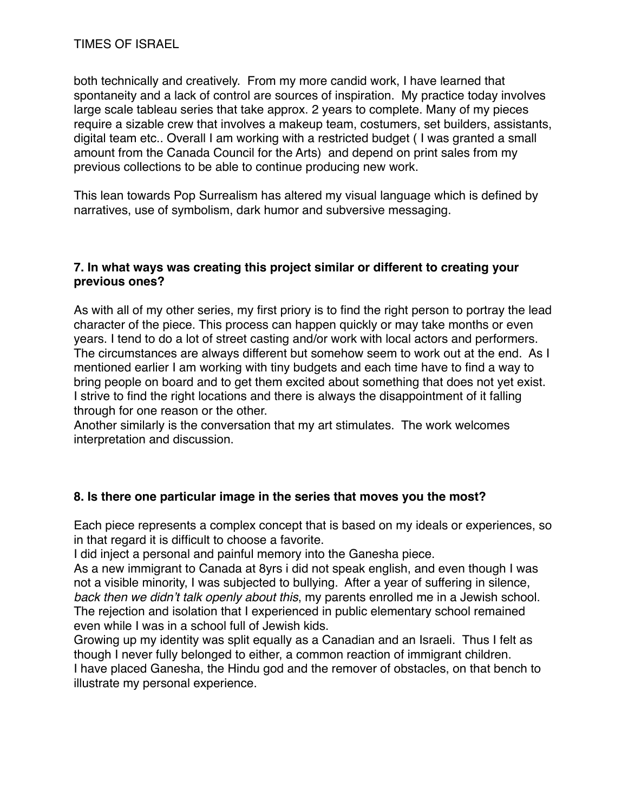both technically and creatively. From my more candid work, I have learned that spontaneity and a lack of control are sources of inspiration. My practice today involves large scale tableau series that take approx. 2 years to complete. Many of my pieces require a sizable crew that involves a makeup team, costumers, set builders, assistants, digital team etc.. Overall I am working with a restricted budget ( I was granted a small amount from the Canada Council for the Arts) and depend on print sales from my previous collections to be able to continue producing new work.

This lean towards Pop Surrealism has altered my visual language which is defined by narratives, use of symbolism, dark humor and subversive messaging.

### **7. In what ways was creating this project similar or different to creating your previous ones?**

As with all of my other series, my first priory is to find the right person to portray the lead character of the piece. This process can happen quickly or may take months or even years. I tend to do a lot of street casting and/or work with local actors and performers. The circumstances are always different but somehow seem to work out at the end. As I mentioned earlier I am working with tiny budgets and each time have to find a way to bring people on board and to get them excited about something that does not yet exist. I strive to find the right locations and there is always the disappointment of it falling through for one reason or the other.

Another similarly is the conversation that my art stimulates. The work welcomes interpretation and discussion.

# **8. Is there one particular image in the series that moves you the most?**

Each piece represents a complex concept that is based on my ideals or experiences, so in that regard it is difficult to choose a favorite.

I did inject a personal and painful memory into the Ganesha piece.

As a new immigrant to Canada at 8yrs i did not speak english, and even though I was not a visible minority, I was subjected to bullying. After a year of suffering in silence, *back then we didn't talk openly about this*, my parents enrolled me in a Jewish school. The rejection and isolation that I experienced in public elementary school remained even while I was in a school full of Jewish kids.

Growing up my identity was split equally as a Canadian and an Israeli. Thus I felt as though I never fully belonged to either, a common reaction of immigrant children. I have placed Ganesha, the Hindu god and the remover of obstacles, on that bench to illustrate my personal experience.